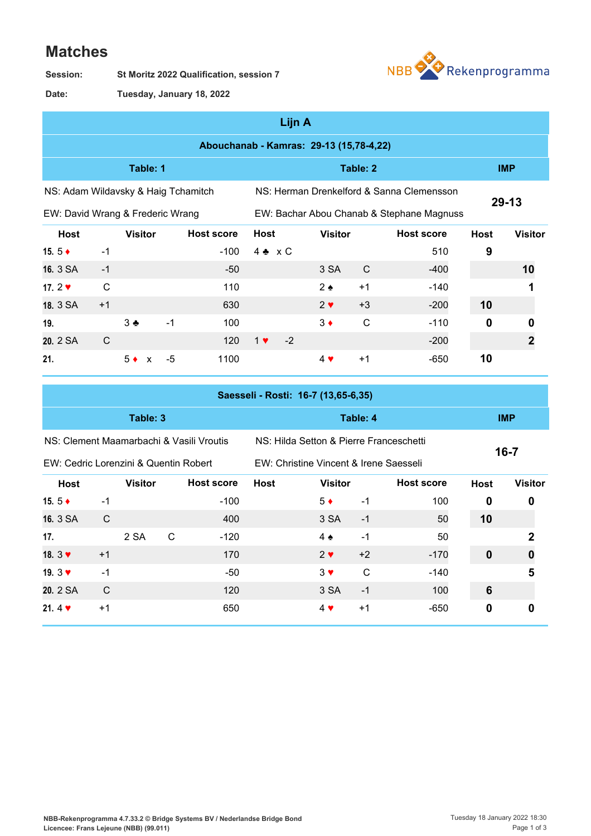## **Matches**

**St Moritz 2022 Qualification, session 7 Session:**



**Tuesday, January 18, 2022 Date:**

| Lijn A                                  |              |                    |      |                   |                                           |      |                |              |                                           |             |                |
|-----------------------------------------|--------------|--------------------|------|-------------------|-------------------------------------------|------|----------------|--------------|-------------------------------------------|-------------|----------------|
| Abouchanab - Kamras: 29-13 (15,78-4,22) |              |                    |      |                   |                                           |      |                |              |                                           |             |                |
| Table: 1                                |              |                    |      |                   |                                           |      | Table: 2       |              | <b>IMP</b>                                |             |                |
| NS: Adam Wildavsky & Haig Tchamitch     |              |                    |      |                   |                                           |      |                |              | NS: Herman Drenkelford & Sanna Clemensson |             |                |
| EW: David Wrang & Frederic Wrang        |              |                    |      |                   | EW: Bachar Abou Chanab & Stephane Magnuss |      |                |              |                                           | $29 - 13$   |                |
| <b>Host</b>                             |              | <b>Visitor</b>     |      | <b>Host score</b> | <b>Host</b>                               |      | <b>Visitor</b> |              | <b>Host score</b>                         | <b>Host</b> | <b>Visitor</b> |
| 15. $5 +$                               | $-1$         |                    |      | $-100$            | $4 \cdot x C$                             |      |                |              | 510                                       | 9           |                |
| 16. 3 SA                                | $-1$         |                    |      | -50               |                                           |      | 3 SA           | $\mathsf{C}$ | $-400$                                    |             | 10             |
| 17.2 $\blacktriangledown$               | $\mathsf{C}$ |                    |      | 110               |                                           |      | $2 \bullet$    | $+1$         | $-140$                                    |             |                |
| 18. 3 SA                                | $+1$         |                    |      | 630               |                                           |      | $2 \vee$       | $+3$         | $-200$                                    | 10          |                |
| 19.                                     |              | $3 +$              | $-1$ | 100               |                                           |      | $3 \bullet$    | $\mathsf{C}$ | $-110$                                    | $\mathbf 0$ | 0              |
| 20. 2 SA                                | C            |                    |      | 120               | $1$ $\blacktriangledown$                  | $-2$ |                |              | $-200$                                    |             | 2              |
| 21.                                     |              | $5^{\bullet}$<br>X | $-5$ | 1100              |                                           |      | $4 \vee$       | $+1$         | $-650$                                    | 10          |                |

| Saesseli - Rosti: 16-7 (13,65-6,35)      |      |                |   |                                        |                                         |                   |          |                   |             |                |  |
|------------------------------------------|------|----------------|---|----------------------------------------|-----------------------------------------|-------------------|----------|-------------------|-------------|----------------|--|
| Table: 3                                 |      |                |   |                                        |                                         |                   | Table: 4 |                   | <b>IMP</b>  |                |  |
| NS: Clement Maamarbachi & Vasili Vroutis |      |                |   |                                        | NS: Hilda Setton & Pierre Franceschetti |                   | $16 - 7$ |                   |             |                |  |
| EW: Cedric Lorenzini & Quentin Robert    |      |                |   | EW: Christine Vincent & Irene Saesseli |                                         |                   |          |                   |             |                |  |
| Host                                     |      | <b>Visitor</b> |   | <b>Host score</b>                      | <b>Host</b>                             | <b>Visitor</b>    |          | <b>Host score</b> | <b>Host</b> | <b>Visitor</b> |  |
| 15. 5 $\triangle$                        | $-1$ |                |   | $-100$                                 |                                         | $5^{\bullet}$     | $-1$     | 100               | 0           | 0              |  |
| 16. 3 SA                                 | C    |                |   | 400                                    |                                         | 3 SA              | $-1$     | 50                | 10          |                |  |
| 17.                                      |      | 2 SA           | C | $-120$                                 |                                         | $4 \triangleleft$ | $-1$     | 50                |             | 2              |  |
| 18. $3 \blacktriangledown$               | $+1$ |                |   | 170                                    |                                         | $2 \vee$          | $+2$     | $-170$            | $\mathbf 0$ | 0              |  |
| 19. $3 \blacktriangledown$               | $-1$ |                |   | -50                                    |                                         | $3 \vee$          | C        | $-140$            |             | 5              |  |
| 20. 2 SA                                 | C    |                |   | 120                                    |                                         | 3 SA              | $-1$     | 100               | 6           |                |  |
| 21. $4 \cdot$                            | $+1$ |                |   | 650                                    |                                         | $4 \vee$          | $+1$     | $-650$            | 0           | 0              |  |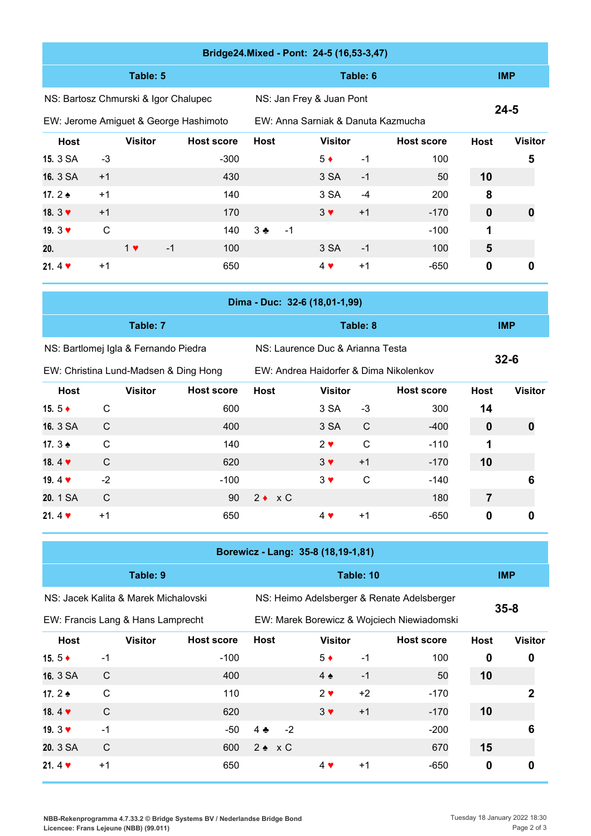|                               |                                    |                                       | Bridge24.Mixed - Pont: 24-5 (16,53-3,47) |                                        |                                  |                          |              |                                    |                |                |  |
|-------------------------------|------------------------------------|---------------------------------------|------------------------------------------|----------------------------------------|----------------------------------|--------------------------|--------------|------------------------------------|----------------|----------------|--|
| Table: 5                      |                                    |                                       |                                          |                                        |                                  |                          | Table: 6     |                                    | <b>IMP</b>     |                |  |
|                               |                                    | NS: Bartosz Chmurski & Igor Chalupec  |                                          |                                        | NS: Jan Frey & Juan Pont         |                          |              |                                    |                |                |  |
|                               |                                    |                                       | EW: Jerome Amiguet & George Hashimoto    |                                        |                                  |                          |              | EW: Anna Sarniak & Danuta Kazmucha |                | $24 - 5$       |  |
| <b>Host</b>                   |                                    | <b>Visitor</b>                        | <b>Host score</b>                        | <b>Host</b>                            |                                  | <b>Visitor</b>           |              | <b>Host score</b>                  | <b>Host</b>    | <b>Visitor</b> |  |
| 15. 3 SA                      | -3                                 |                                       | $-300$                                   |                                        |                                  | $5 \bullet$              | $-1$         | 100                                |                | 5              |  |
| 16. 3 SA                      | $+1$                               |                                       | 430                                      |                                        |                                  | 3 SA                     | $-1$         | 50                                 | 10             |                |  |
| 17.2 $\triangle$              | $+1$                               |                                       | 140                                      |                                        |                                  | 3 SA                     | $-4$         | 200                                | 8              |                |  |
| 18. $3 \blacktriangledown$    | $+1$                               |                                       | 170                                      |                                        |                                  | $3 \vee$                 | $+1$         | $-170$                             | $\pmb{0}$      | 0              |  |
| 19. $3 \blacktriangledown$    | $\mathsf{C}$                       |                                       | 140                                      | $3 \triangleleft$                      | $-1$                             |                          |              | $-100$                             | 1              |                |  |
| 20.                           |                                    | $1$ $\blacktriangledown$<br>$-1$      | 100                                      |                                        |                                  | 3 SA                     | $-1$         | 100                                | $5\phantom{1}$ |                |  |
| 21.4 $\blacktriangledown$     | $+1$                               |                                       | 650                                      |                                        |                                  | 4 ♥                      | $+1$         | -650                               | 0              | 0              |  |
| Dima - Duc: 32-6 (18,01-1,99) |                                    |                                       |                                          |                                        |                                  |                          |              |                                    |                |                |  |
|                               |                                    | Table: 7                              |                                          |                                        | Table: 8                         |                          |              |                                    |                | <b>IMP</b>     |  |
|                               |                                    | NS: Bartlomej Igla & Fernando Piedra  |                                          |                                        | NS: Laurence Duc & Arianna Testa |                          |              |                                    |                |                |  |
|                               |                                    | EW: Christina Lund-Madsen & Ding Hong |                                          | EW: Andrea Haidorfer & Dima Nikolenkov |                                  |                          |              |                                    |                | $32 - 6$       |  |
| <b>Host</b>                   |                                    | <b>Visitor</b>                        | <b>Host score</b>                        | <b>Host</b>                            |                                  | <b>Visitor</b>           |              | <b>Host score</b>                  | <b>Host</b>    | <b>Visitor</b> |  |
| 15.5 $\triangle$              | $\mathsf{C}$                       |                                       | 600                                      |                                        |                                  | 3 SA                     | $-3$         | 300                                | 14             |                |  |
| 16. 3 SA                      | $\mathsf{C}$                       |                                       | 400                                      |                                        |                                  | 3 SA                     | $\mathsf{C}$ | $-400$                             | $\mathbf 0$    | $\mathbf 0$    |  |
| 17. $3 \triangleq$            | $\mathsf{C}$                       |                                       | 140                                      |                                        |                                  | $2 \vee$                 | $\mathsf{C}$ | $-110$                             | 1              |                |  |
| 18.4 $\blacktriangledown$     | $\mathsf{C}$                       |                                       | 620                                      |                                        |                                  | $3 \blacktriangledown$   | $+1$         | $-170$                             | 10             |                |  |
| 19.4 $\blacktriangledown$     | $-2$                               |                                       | $-100$                                   |                                        |                                  | $3 \vee$                 | $\mathsf{C}$ | $-140$                             |                | 6              |  |
| 20. 1 SA                      | $\mathsf{C}$                       |                                       | 90                                       | $2 \bullet x C$                        |                                  |                          |              | 180                                | $\overline{7}$ |                |  |
| 21.4 $\blacktriangledown$     | $+1$                               |                                       | 650                                      |                                        |                                  | $4$ $\blacktriangledown$ | $+1$         | $-650$                             | $\pmb{0}$      | 0              |  |
|                               | Borewicz - Lang: 35-8 (18,19-1,81) |                                       |                                          |                                        |                                  |                          |              |                                    |                |                |  |

|                            | Table: 9                             |                   | Table: 10                                  |                   |      |                   |             |                |  |  |  |  |
|----------------------------|--------------------------------------|-------------------|--------------------------------------------|-------------------|------|-------------------|-------------|----------------|--|--|--|--|
|                            | NS: Jacek Kalita & Marek Michalovski |                   | NS: Heimo Adelsberger & Renate Adelsberger |                   |      |                   |             |                |  |  |  |  |
|                            | EW: Francis Lang & Hans Lamprecht    |                   | EW: Marek Borewicz & Wojciech Niewiadomski |                   |      |                   |             |                |  |  |  |  |
| <b>Host</b>                | <b>Visitor</b>                       | <b>Host score</b> | <b>Host</b>                                | <b>Visitor</b>    |      | <b>Host score</b> | <b>Host</b> | <b>Visitor</b> |  |  |  |  |
| 15.5 $\bullet$             | $-1$                                 | $-100$            |                                            | $5^{\bullet}$     | $-1$ | 100               | 0           | 0              |  |  |  |  |
| 16. 3 SA                   | C                                    | 400               |                                            | $4 \triangleleft$ | $-1$ | 50                | 10          |                |  |  |  |  |
| 17. $2 \triangleleft$      | C                                    | 110               |                                            | $2 \vee$          | $+2$ | $-170$            |             | 2              |  |  |  |  |
| 18.4 $\blacktriangledown$  | C                                    | 620               |                                            | $3 \vee$          | $+1$ | $-170$            | 10          |                |  |  |  |  |
| 19. $3 \blacktriangledown$ | $-1$                                 | $-50$             | $-2$<br>$4 \bullet$                        |                   |      | $-200$            |             | 6              |  |  |  |  |
| 20. 3 SA                   | C                                    | 600               | $2 \cdot x C$                              |                   |      | 670               | 15          |                |  |  |  |  |

**21.** 4 ♥ +1 650 4 ♥ +1 -650 **0 0**